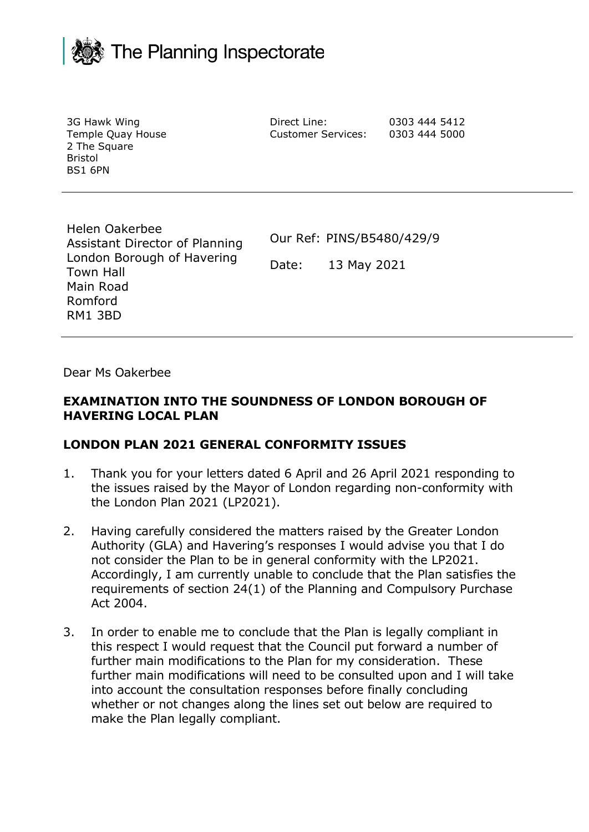

| 3G Hawk Wing<br>Temple Quay House<br>2 The Square<br><b>Bristol</b><br>BS1 6PN | Direct Line:<br><b>Customer Services:</b> | 0303 444 5412<br>0303 444 5000 |
|--------------------------------------------------------------------------------|-------------------------------------------|--------------------------------|
| Helen Oakerbee                                                                 |                                           |                                |

Assistant Director of Planning London Borough of Havering Town Hall Main Road Romford RM1 3BD

Our Ref: PINS/B5480/429/9

Date: 13 May 2021

Dear Ms Oakerbee

### **EXAMINATION INTO THE SOUNDNESS OF LONDON BOROUGH OF HAVERING LOCAL PLAN**

#### **LONDON PLAN 2021 GENERAL CONFORMITY ISSUES**

- 1. Thank you for your letters dated 6 April and 26 April 2021 responding to the issues raised by the Mayor of London regarding non-conformity with the London Plan 2021 (LP2021).
- 2. Having carefully considered the matters raised by the Greater London Authority (GLA) and Havering's responses I would advise you that I do not consider the Plan to be in general conformity with the LP2021. Accordingly, I am currently unable to conclude that the Plan satisfies the requirements of section 24(1) of the Planning and Compulsory Purchase Act 2004.
- 3. In order to enable me to conclude that the Plan is legally compliant in this respect I would request that the Council put forward a number of further main modifications to the Plan for my consideration. These further main modifications will need to be consulted upon and I will take into account the consultation responses before finally concluding whether or not changes along the lines set out below are required to make the Plan legally compliant.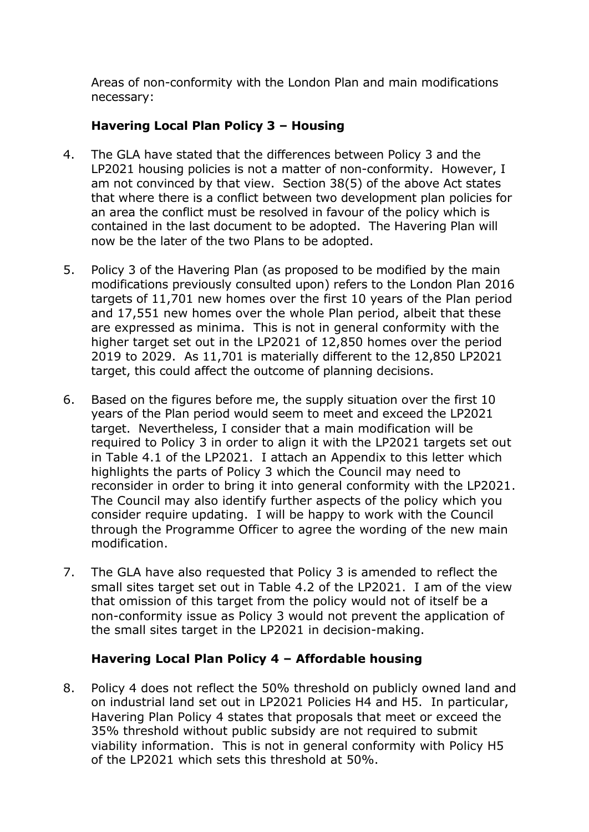Areas of non-conformity with the London Plan and main modifications necessary:

# **Havering Local Plan Policy 3 – Housing**

- 4. The GLA have stated that the differences between Policy 3 and the LP2021 housing policies is not a matter of non-conformity. However, I am not convinced by that view. Section 38(5) of the above Act states that where there is a conflict between two development plan policies for an area the conflict must be resolved in favour of the policy which is contained in the last document to be adopted. The Havering Plan will now be the later of the two Plans to be adopted.
- 5. Policy 3 of the Havering Plan (as proposed to be modified by the main modifications previously consulted upon) refers to the London Plan 2016 targets of 11,701 new homes over the first 10 years of the Plan period and 17,551 new homes over the whole Plan period, albeit that these are expressed as minima. This is not in general conformity with the higher target set out in the LP2021 of 12,850 homes over the period 2019 to 2029. As 11,701 is materially different to the 12,850 LP2021 target, this could affect the outcome of planning decisions.
- 6. Based on the figures before me, the supply situation over the first 10 years of the Plan period would seem to meet and exceed the LP2021 target. Nevertheless, I consider that a main modification will be required to Policy 3 in order to align it with the LP2021 targets set out in Table 4.1 of the LP2021. I attach an Appendix to this letter which highlights the parts of Policy 3 which the Council may need to reconsider in order to bring it into general conformity with the LP2021. The Council may also identify further aspects of the policy which you consider require updating. I will be happy to work with the Council through the Programme Officer to agree the wording of the new main modification.
- 7. The GLA have also requested that Policy 3 is amended to reflect the small sites target set out in Table 4.2 of the LP2021. I am of the view that omission of this target from the policy would not of itself be a non-conformity issue as Policy 3 would not prevent the application of the small sites target in the LP2021 in decision-making.

## **Havering Local Plan Policy 4 – Affordable housing**

8. Policy 4 does not reflect the 50% threshold on publicly owned land and on industrial land set out in LP2021 Policies H4 and H5. In particular, Havering Plan Policy 4 states that proposals that meet or exceed the 35% threshold without public subsidy are not required to submit viability information. This is not in general conformity with Policy H5 of the LP2021 which sets this threshold at 50%.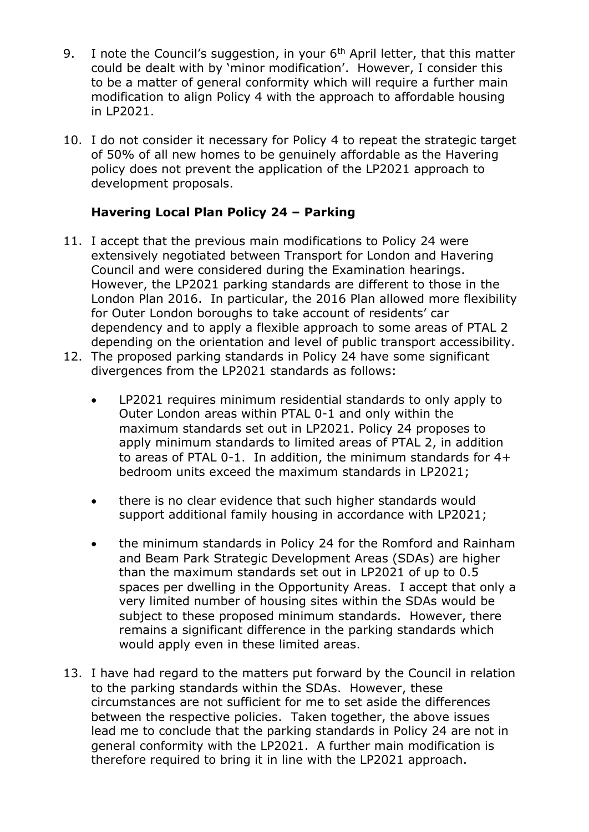- 9. I note the Council's suggestion, in your  $6<sup>th</sup>$  April letter, that this matter could be dealt with by 'minor modification'. However, I consider this to be a matter of general conformity which will require a further main modification to align Policy 4 with the approach to affordable housing in LP2021.
- 10. I do not consider it necessary for Policy 4 to repeat the strategic target of 50% of all new homes to be genuinely affordable as the Havering policy does not prevent the application of the LP2021 approach to development proposals.

## **Havering Local Plan Policy 24 – Parking**

- 11. I accept that the previous main modifications to Policy 24 were extensively negotiated between Transport for London and Havering Council and were considered during the Examination hearings. However, the LP2021 parking standards are different to those in the London Plan 2016. In particular, the 2016 Plan allowed more flexibility for Outer London boroughs to take account of residents' car dependency and to apply a flexible approach to some areas of PTAL 2 depending on the orientation and level of public transport accessibility.
- 12. The proposed parking standards in Policy 24 have some significant divergences from the LP2021 standards as follows:
	- LP2021 requires minimum residential standards to only apply to Outer London areas within PTAL 0-1 and only within the maximum standards set out in LP2021. Policy 24 proposes to apply minimum standards to limited areas of PTAL 2, in addition to areas of PTAL 0-1. In addition, the minimum standards for 4+ bedroom units exceed the maximum standards in LP2021;
	- there is no clear evidence that such higher standards would support additional family housing in accordance with LP2021;
	- the minimum standards in Policy 24 for the Romford and Rainham and Beam Park Strategic Development Areas (SDAs) are higher than the maximum standards set out in LP2021 of up to 0.5 spaces per dwelling in the Opportunity Areas. I accept that only a very limited number of housing sites within the SDAs would be subject to these proposed minimum standards. However, there remains a significant difference in the parking standards which would apply even in these limited areas.
- 13. I have had regard to the matters put forward by the Council in relation to the parking standards within the SDAs. However, these circumstances are not sufficient for me to set aside the differences between the respective policies. Taken together, the above issues lead me to conclude that the parking standards in Policy 24 are not in general conformity with the LP2021. A further main modification is therefore required to bring it in line with the LP2021 approach.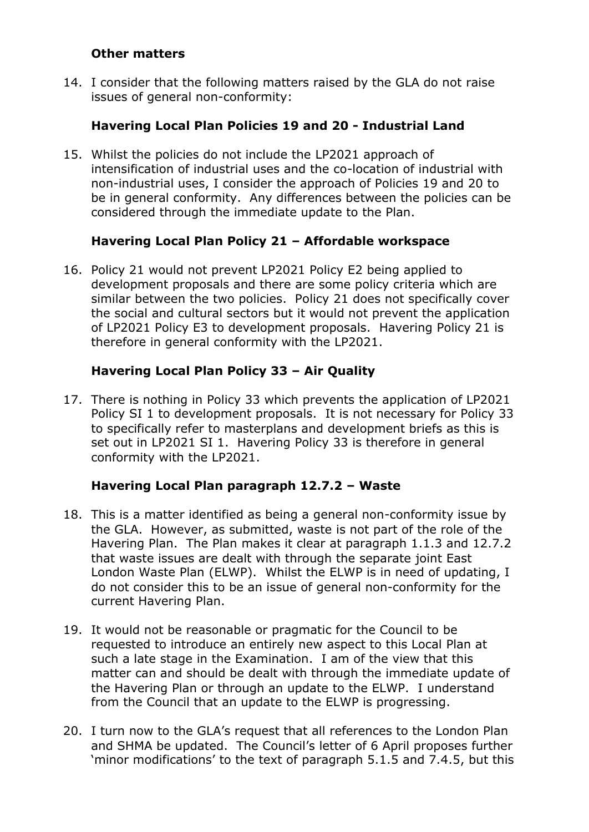#### **Other matters**

14. I consider that the following matters raised by the GLA do not raise issues of general non-conformity:

## **Havering Local Plan Policies 19 and 20 - Industrial Land**

15. Whilst the policies do not include the LP2021 approach of intensification of industrial uses and the co-location of industrial with non-industrial uses, I consider the approach of Policies 19 and 20 to be in general conformity. Any differences between the policies can be considered through the immediate update to the Plan.

## **Havering Local Plan Policy 21 – Affordable workspace**

16. Policy 21 would not prevent LP2021 Policy E2 being applied to development proposals and there are some policy criteria which are similar between the two policies. Policy 21 does not specifically cover the social and cultural sectors but it would not prevent the application of LP2021 Policy E3 to development proposals. Havering Policy 21 is therefore in general conformity with the LP2021.

## **Havering Local Plan Policy 33 – Air Quality**

17. There is nothing in Policy 33 which prevents the application of LP2021 Policy SI 1 to development proposals. It is not necessary for Policy 33 to specifically refer to masterplans and development briefs as this is set out in LP2021 SI 1. Havering Policy 33 is therefore in general conformity with the LP2021.

## **Havering Local Plan paragraph 12.7.2 – Waste**

- 18. This is a matter identified as being a general non-conformity issue by the GLA. However, as submitted, waste is not part of the role of the Havering Plan. The Plan makes it clear at paragraph 1.1.3 and 12.7.2 that waste issues are dealt with through the separate joint East London Waste Plan (ELWP). Whilst the ELWP is in need of updating, I do not consider this to be an issue of general non-conformity for the current Havering Plan.
- 19. It would not be reasonable or pragmatic for the Council to be requested to introduce an entirely new aspect to this Local Plan at such a late stage in the Examination. I am of the view that this matter can and should be dealt with through the immediate update of the Havering Plan or through an update to the ELWP. I understand from the Council that an update to the ELWP is progressing.
- 20. I turn now to the GLA's request that all references to the London Plan and SHMA be updated. The Council's letter of 6 April proposes further 'minor modifications' to the text of paragraph 5.1.5 and 7.4.5, but this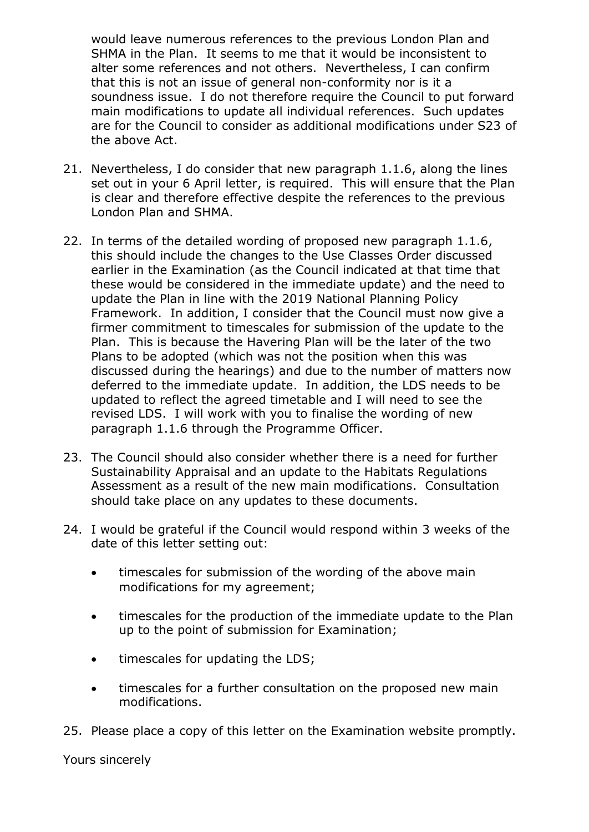would leave numerous references to the previous London Plan and SHMA in the Plan. It seems to me that it would be inconsistent to alter some references and not others. Nevertheless, I can confirm that this is not an issue of general non-conformity nor is it a soundness issue. I do not therefore require the Council to put forward main modifications to update all individual references. Such updates are for the Council to consider as additional modifications under S23 of the above Act.

- 21. Nevertheless, I do consider that new paragraph 1.1.6, along the lines set out in your 6 April letter, is required. This will ensure that the Plan is clear and therefore effective despite the references to the previous London Plan and SHMA.
- 22. In terms of the detailed wording of proposed new paragraph 1.1.6, this should include the changes to the Use Classes Order discussed earlier in the Examination (as the Council indicated at that time that these would be considered in the immediate update) and the need to update the Plan in line with the 2019 National Planning Policy Framework. In addition, I consider that the Council must now give a firmer commitment to timescales for submission of the update to the Plan. This is because the Havering Plan will be the later of the two Plans to be adopted (which was not the position when this was discussed during the hearings) and due to the number of matters now deferred to the immediate update. In addition, the LDS needs to be updated to reflect the agreed timetable and I will need to see the revised LDS. I will work with you to finalise the wording of new paragraph 1.1.6 through the Programme Officer.
- 23. The Council should also consider whether there is a need for further Sustainability Appraisal and an update to the Habitats Regulations Assessment as a result of the new main modifications. Consultation should take place on any updates to these documents.
- 24. I would be grateful if the Council would respond within 3 weeks of the date of this letter setting out:
	- timescales for submission of the wording of the above main modifications for my agreement;
	- timescales for the production of the immediate update to the Plan up to the point of submission for Examination;
	- $\bullet$  timescales for updating the LDS;
	- timescales for a further consultation on the proposed new main modifications.
- 25. Please place a copy of this letter on the Examination website promptly.

Yours sincerely